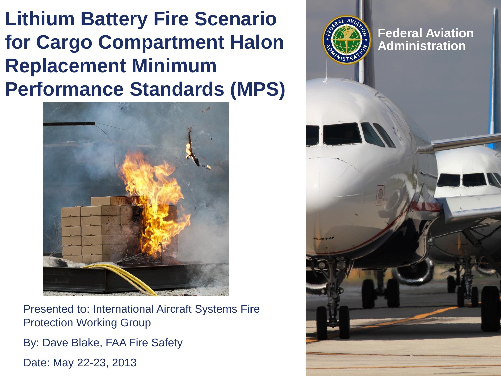**Lithium Battery Fire Scenario for Cargo Compartment Halon Replacement Minimum Performance Standards (MPS)**



Presented to: International Aircraft Systems Fire Protection Working Group

By: Dave Blake, FAA Fire Safety

Date: May 22-23, 2013

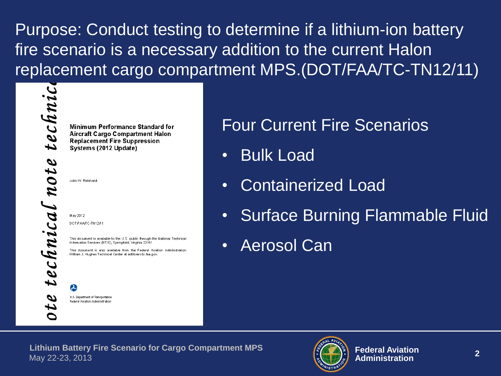Purpose: Conduct testing to determine if a lithium-ion battery fire scenario is a necessary addition to the current Halon replacement cargo compartment MPS.(DOT/FAA/TC-TN12/11)

technic note technical

Minimum Performance Standard for **Aircraft Cargo Compartment Halon Replacement Fire Suppression** Systems (2012 Update)

John W. Reinhardt

May 2012 DOT/FAA/TC-TN12/11

P

This document is available to the U.S. public through the National Technical Information Services (NTIS), Springfield, Virginia 22161

This document is also available from the Federal Aviation Administration William J. Hughes Technical Center at actiibrary.tc.faa.gov.

U.S. Department of Transportation Federal Aviation Administration

## Four Current Fire Scenarios

- Bulk Load
- Containerized Load
- Surface Burning Flammable Fluid
- Aerosol Can

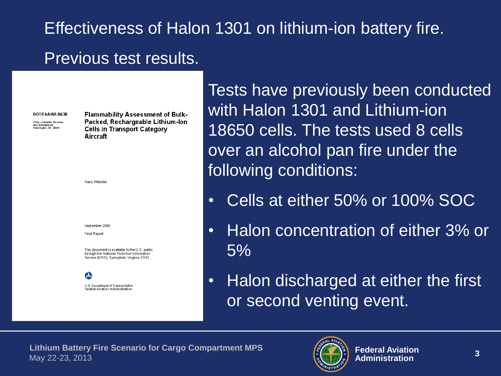## Effectiveness of Halon 1301 on lithium-ion battery fire. Previous test results.

DOT/FAA/AR-06/38

Office of Aulation Research and Deuelopment<br>Washight, DC 20591

**Flammability Assessment of Bulk-**Packed, Rechargeable Lithium-lon **Cells in Transport Category** Aircraft

| September 2006<br>Final Report                                                                                                              |
|---------------------------------------------------------------------------------------------------------------------------------------------|
| This document is available to the U.S. public<br>through the National Technical Information<br>Service (NTIS), Springfield, Virginia 22161. |

Harry Webster

U.S. Department of Transportation Federal Aviation Administration

Tests have previously been conducted with Halon 1301 and Lithium-ion 18650 cells. The tests used 8 cells over an alcohol pan fire under the following conditions:

- Cells at either 50% or 100% SOC
- Halon concentration of either 3% or 5%
- Halon discharged at either the first or second venting event.

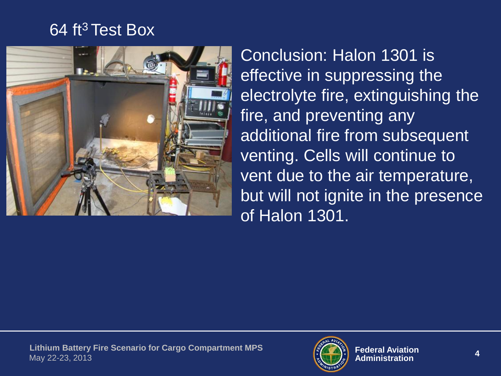## 64 ft<sup>3</sup> Test Box



Conclusion: Halon 1301 is effective in suppressing the electrolyte fire, extinguishing the fire, and preventing any additional fire from subsequent venting. Cells will continue to vent due to the air temperature, but will not ignite in the presence of Halon 1301.